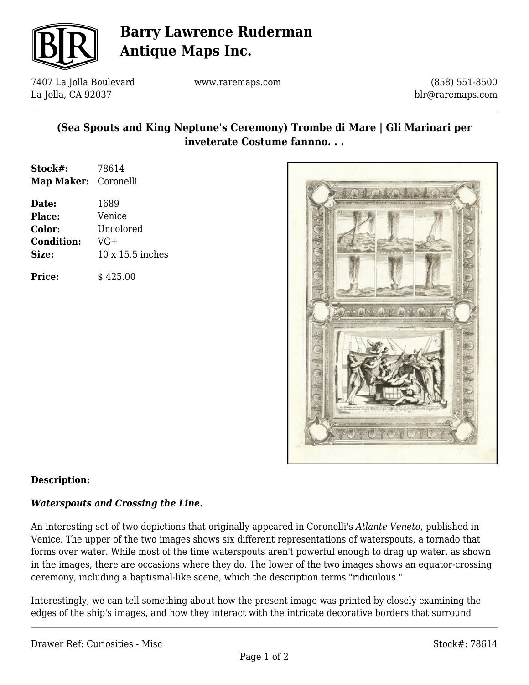

# **Barry Lawrence Ruderman Antique Maps Inc.**

7407 La Jolla Boulevard La Jolla, CA 92037

www.raremaps.com

(858) 551-8500 blr@raremaps.com

### **(Sea Spouts and King Neptune's Ceremony) Trombe di Mare | Gli Marinari per inveterate Costume fannno. . .**

| Stock#:              | 78614            |
|----------------------|------------------|
| Map Maker: Coronelli |                  |
| Date:                | 1689             |
| Place:               | Venice           |
| Color:               | Uncolored        |
| <b>Condition:</b>    | VG+              |
| Size:                | 10 x 15.5 inches |
| <b>Price:</b>        | \$425.00         |



#### **Description:**

#### *Waterspouts and Crossing the Line.*

An interesting set of two depictions that originally appeared in Coronelli's *Atlante Veneto*, published in Venice. The upper of the two images shows six different representations of waterspouts, a tornado that forms over water. While most of the time waterspouts aren't powerful enough to drag up water, as shown in the images, there are occasions where they do. The lower of the two images shows an equator-crossing ceremony, including a baptismal-like scene, which the description terms "ridiculous."

Interestingly, we can tell something about how the present image was printed by closely examining the edges of the ship's images, and how they interact with the intricate decorative borders that surround